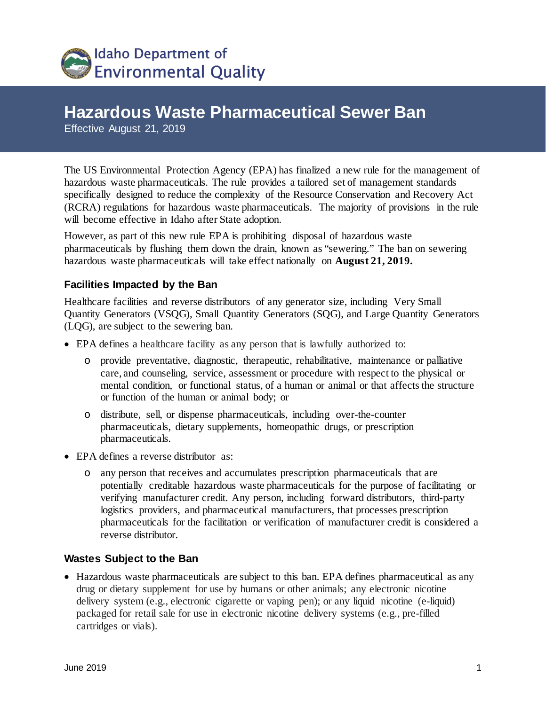

# **Hazardous Waste Pharmaceutical Sewer Ban**

Effective August 21, 2019

The US Environmental Protection Agency (EPA) has finalized a new rule for the management of hazardous waste pharmaceuticals. The rule provides a tailored set of management standards specifically designed to reduce the complexity of the Resource Conservation and Recovery Act (RCRA) regulations for hazardous waste pharmaceuticals. The majority of provisions in the rule will become effective in Idaho after State adoption.

However, as part of this new rule EPA is prohibiting disposal of hazardous waste pharmaceuticals by flushing them down the drain, known as "sewering." The ban on sewering hazardous waste pharmaceuticals will take effect nationally on **August 21, 2019.**

#### **Facilities Impacted by the Ban**

Healthcare facilities and reverse distributors of any generator size, including Very Small Quantity Generators (VSQG), Small Quantity Generators (SQG), and Large Quantity Generators (LQG), are subject to the sewering ban.

- EPA defines a healthcare facility as any person that is lawfully authorized to:
	- o provide preventative, diagnostic, therapeutic, rehabilitative, maintenance or palliative care, and counseling, service, assessment or procedure with respect to the physical or mental condition, or functional status, of a human or animal or that affects the structure or function of the human or animal body; or
	- o distribute, sell, or dispense pharmaceuticals, including over-the-counter pharmaceuticals, dietary supplements, homeopathic drugs, or prescription pharmaceuticals.
- EPA defines a reverse distributor as:
	- o any person that receives and accumulates prescription pharmaceuticals that are potentially creditable hazardous waste pharmaceuticals for the purpose of facilitating or verifying manufacturer credit. Any person, including forward distributors, third-party logistics providers, and pharmaceutical manufacturers, that processes prescription pharmaceuticals for the facilitation or verification of manufacturer credit is considered a reverse distributor.

#### **Wastes Subject to the Ban**

• Hazardous waste pharmaceuticals are subject to this ban. EPA defines pharmaceutical as any drug or dietary supplement for use by humans or other animals; any electronic nicotine delivery system (e.g., electronic cigarette or vaping pen); or any liquid nicotine (e-liquid) packaged for retail sale for use in electronic nicotine delivery systems (e.g., pre-filled cartridges or vials).